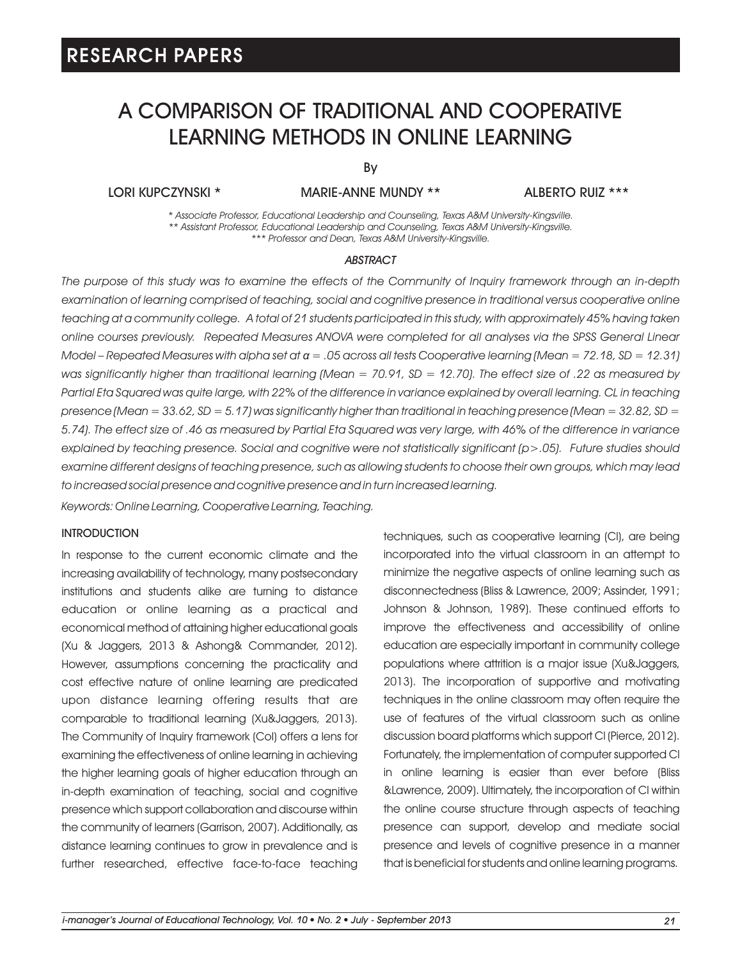# A COMPARISON OF TRADITIONAL AND COOPERATIVE LEARNING METHODS IN ONLINE LEARNING

By

### LORI KUPCZYNSKI \* MARIE-ANNE MUNDY \*\* ALBERTO RUIZ \*\*\*

*\* Associate Professor, Educational Leadership and Counseling, Texas A&M University-Kingsville. \*\* Assistant Professor, Educational Leadership and Counseling, Texas A&M University-Kingsville. \*\*\* Professor and Dean, Texas A&M University-Kingsville.*

#### *ABSTRACT*

*The purpose of this study was to examine the effects of the Community of Inquiry framework through an in-depth*  examination of learning comprised of teaching, social and cognitive presence in traditional versus cooperative online *teaching at a community college. A total of 21 students participated in this study, with approximately 45% having taken online courses previously. Repeated Measures ANOVA were completed for all analyses via the SPSS General Linear Model – Repeated Measures with alpha set at α = .05 across all tests Cooperative learning (Mean = 72.18, SD = 12.31) was significantly higher than traditional learning (Mean = 70.91, SD = 12.70). The effect size of .22 as measured by*  Partial Eta Squared was quite large, with 22% of the difference in variance explained by overall learning. CL in teaching *presence (Mean = 33.62, SD = 5.17) was significantly higher than traditional in teaching presence (Mean = 32.82, SD = 5.74). The effect size of .46 as measured by Partial Eta Squared was very large, with 46% of the difference in variance explained by teaching presence. Social and cognitive were not statistically significant (p>.05). Future studies should examine different designs of teaching presence, such as allowing students to choose their own groups, which may lead to increased social presence and cognitive presence and in turn increased learning.*

*Keywords: Online Learning, Cooperative Learning, Teaching.*

#### **INTRODUCTION**

In response to the current economic climate and the increasing availability of technology, many postsecondary institutions and students alike are turning to distance education or online learning as a practical and economical method of attaining higher educational goals (Xu & Jaggers, 2013 & Ashong& Commander, 2012). However, assumptions concerning the practicality and cost effective nature of online learning are predicated upon distance learning offering results that are comparable to traditional learning (Xu&Jaggers, 2013). The Community of Inquiry framework (CoI) offers a lens for examining the effectiveness of online learning in achieving the higher learning goals of higher education through an in-depth examination of teaching, social and cognitive presence which support collaboration and discourse within the community of learners (Garrison, 2007). Additionally, as distance learning continues to grow in prevalence and is further researched, effective face-to-face teaching techniques, such as cooperative learning (Cl), are being incorporated into the virtual classroom in an attempt to minimize the negative aspects of online learning such as disconnectedness (Bliss & Lawrence, 2009; Assinder, 1991; Johnson & Johnson, 1989). These continued efforts to improve the effectiveness and accessibility of online education are especially important in community college populations where attrition is a major issue (Xu&Jaggers, 2013). The incorporation of supportive and motivating techniques in the online classroom may often require the use of features of the virtual classroom such as online discussion board platforms which support Cl (Pierce, 2012). Fortunately, the implementation of computer supported Cl in online learning is easier than ever before (Bliss &Lawrence, 2009). Ultimately, the incorporation of Cl within the online course structure through aspects of teaching presence can support, develop and mediate social presence and levels of cognitive presence in a manner that is beneficial for students and online learning programs.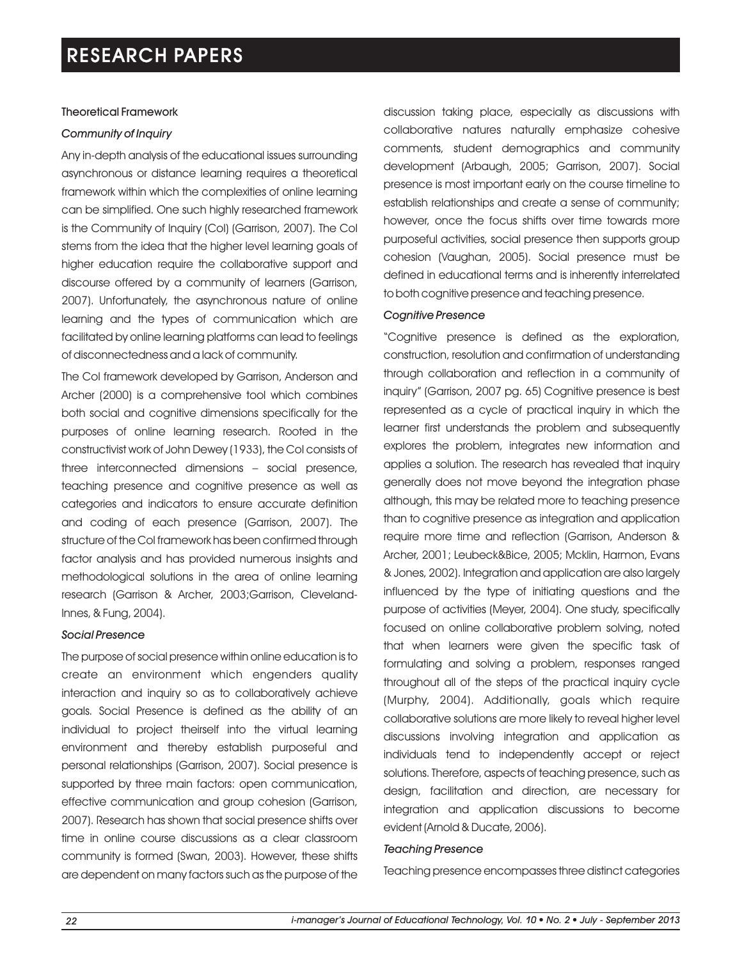### Theoretical Framework

### *Community of Inquiry*

Any in-depth analysis of the educational issues surrounding asynchronous or distance learning requires a theoretical framework within which the complexities of online learning can be simplified. One such highly researched framework is the Community of Inquiry (CoI) (Garrison, 2007). The CoI stems from the idea that the higher level learning goals of higher education require the collaborative support and discourse offered by a community of learners (Garrison, 2007). Unfortunately, the asynchronous nature of online learning and the types of communication which are facilitated by online learning platforms can lead to feelings of disconnectedness and a lack of community.

The CoI framework developed by Garrison, Anderson and Archer (2000) is a comprehensive tool which combines both social and cognitive dimensions specifically for the purposes of online learning research. Rooted in the constructivist work of John Dewey (1933), the CoI consists of three interconnected dimensions – social presence, teaching presence and cognitive presence as well as categories and indicators to ensure accurate definition and coding of each presence (Garrison, 2007). The structure of the CoI framework has been confirmed through factor analysis and has provided numerous insights and methodological solutions in the area of online learning research (Garrison & Archer, 2003;Garrison, Cleveland-Innes, & Fung, 2004).

### *Social Presence*

The purpose of social presence within online education is to create an environment which engenders quality interaction and inquiry so as to collaboratively achieve goals. Social Presence is defined as the ability of an individual to project theirself into the virtual learning environment and thereby establish purposeful and personal relationships (Garrison, 2007). Social presence is supported by three main factors: open communication, effective communication and group cohesion (Garrison, 2007). Research has shown that social presence shifts over time in online course discussions as a clear classroom community is formed (Swan, 2003). However, these shifts are dependent on many factors such as the purpose of the

discussion taking place, especially as discussions with collaborative natures naturally emphasize cohesive comments, student demographics and community development (Arbaugh, 2005; Garrison, 2007). Social presence is most important early on the course timeline to establish relationships and create a sense of community; however, once the focus shifts over time towards more purposeful activities, social presence then supports group cohesion (Vaughan, 2005). Social presence must be defined in educational terms and is inherently interrelated to both cognitive presence and teaching presence.

### *Cognitive Presence*

"Cognitive presence is defined as the exploration, construction, resolution and confirmation of understanding through collaboration and reflection in a community of inquiry" (Garrison, 2007 pg. 65) Cognitive presence is best represented as a cycle of practical inquiry in which the learner first understands the problem and subsequently explores the problem, integrates new information and applies a solution. The research has revealed that inquiry generally does not move beyond the integration phase although, this may be related more to teaching presence than to cognitive presence as integration and application require more time and reflection (Garrison, Anderson & Archer, 2001; Leubeck&Bice, 2005; Mcklin, Harmon, Evans & Jones, 2002). Integration and application are also largely influenced by the type of initiating questions and the purpose of activities (Meyer, 2004). One study, specifically focused on online collaborative problem solving, noted that when learners were given the specific task of formulating and solving a problem, responses ranged throughout all of the steps of the practical inquiry cycle (Murphy, 2004). Additionally, goals which require collaborative solutions are more likely to reveal higher level discussions involving integration and application as individuals tend to independently accept or reject solutions. Therefore, aspects of teaching presence, such as design, facilitation and direction, are necessary for integration and application discussions to become evident (Arnold & Ducate, 2006).

### *Teaching Presence*

Teaching presence encompasses three distinct categories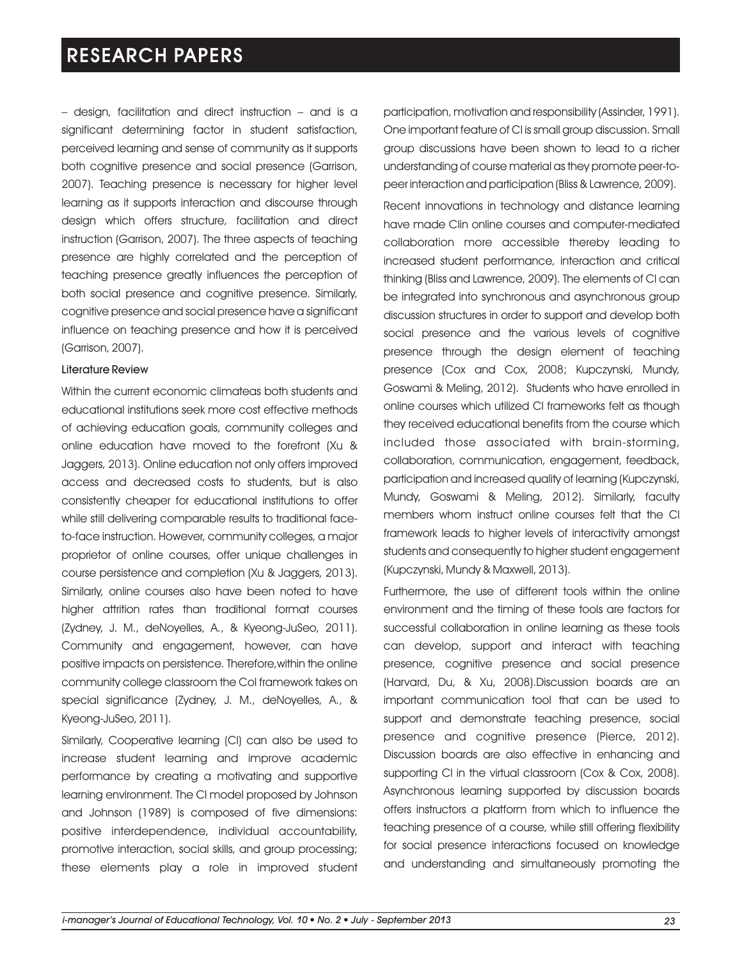– design, facilitation and direct instruction – and is a significant determining factor in student satisfaction, perceived learning and sense of community as it supports both cognitive presence and social presence (Garrison, 2007). Teaching presence is necessary for higher level learning as it supports interaction and discourse through design which offers structure, facilitation and direct instruction (Garrison, 2007). The three aspects of teaching presence are highly correlated and the perception of teaching presence greatly influences the perception of both social presence and cognitive presence. Similarly, cognitive presence and social presence have a significant influence on teaching presence and how it is perceived (Garrison, 2007).

### Literature Review

Within the current economic climateas both students and educational institutions seek more cost effective methods of achieving education goals, community colleges and online education have moved to the forefront (Xu & Jaggers, 2013). Online education not only offers improved access and decreased costs to students, but is also consistently cheaper for educational institutions to offer while still delivering comparable results to traditional faceto-face instruction. However, community colleges, a major proprietor of online courses, offer unique challenges in course persistence and completion (Xu & Jaggers, 2013). Similarly, online courses also have been noted to have higher attrition rates than traditional format courses (Zydney, J. M., deNoyelles, A., & Kyeong-JuSeo, 2011). Community and engagement, however, can have positive impacts on persistence. Therefore,within the online community college classroom the CoI framework takes on special significance (Zydney, J. M., deNoyelles, A., & Kyeong-JuSeo, 2011).

Similarly, Cooperative learning (Cl) can also be used to increase student learning and improve academic performance by creating a motivating and supportive learning environment. The Cl model proposed by Johnson and Johnson (1989) is composed of five dimensions: positive interdependence, individual accountability, promotive interaction, social skills, and group processing; these elements play a role in improved student participation, motivation and responsibility (Assinder, 1991). One important feature of Cl is small group discussion. Small group discussions have been shown to lead to a richer understanding of course material as they promote peer-topeer interaction and participation (Bliss & Lawrence, 2009).

Recent innovations in technology and distance learning have made Clin online courses and computer-mediated collaboration more accessible thereby leading to increased student performance, interaction and critical thinking (Bliss and Lawrence, 2009). The elements of Cl can be integrated into synchronous and asynchronous group discussion structures in order to support and develop both social presence and the various levels of cognitive presence through the design element of teaching presence (Cox and Cox, 2008; Kupczynski, Mundy, Goswami & Meling, 2012). Students who have enrolled in online courses which utilized Cl frameworks felt as though they received educational benefits from the course which included those associated with brain-storming, collaboration, communication, engagement, feedback, participation and increased quality of learning (Kupczynski, Mundy, Goswami & Meling, 2012). Similarly, faculty members whom instruct online courses felt that the Cl framework leads to higher levels of interactivity amongst students and consequently to higher student engagement (Kupczynski, Mundy & Maxwell, 2013).

Furthermore, the use of different tools within the online environment and the timing of these tools are factors for successful collaboration in online learning as these tools can develop, support and interact with teaching presence, cognitive presence and social presence (Harvard, Du, & Xu, 2008).Discussion boards are an important communication tool that can be used to support and demonstrate teaching presence, social presence and cognitive presence (Pierce, 2012). Discussion boards are also effective in enhancing and supporting Cl in the virtual classroom (Cox & Cox, 2008). Asynchronous learning supported by discussion boards offers instructors a platform from which to influence the teaching presence of a course, while still offering flexibility for social presence interactions focused on knowledge and understanding and simultaneously promoting the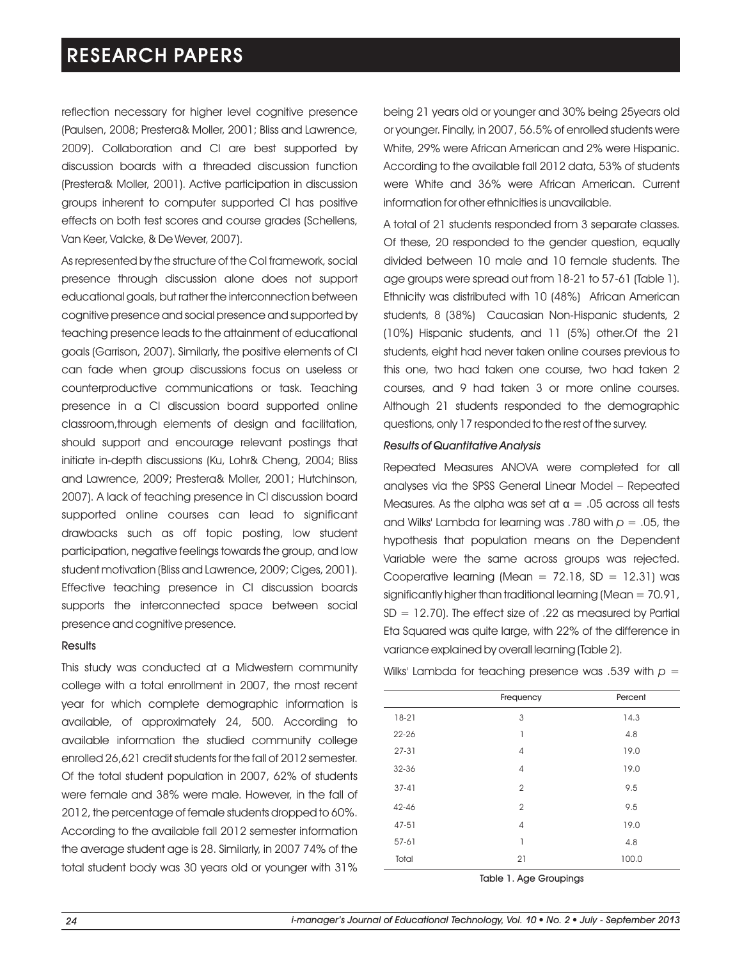reflection necessary for higher level cognitive presence (Paulsen, 2008; Prestera& Moller, 2001; Bliss and Lawrence, 2009). Collaboration and Cl are best supported by discussion boards with a threaded discussion function (Prestera& Moller, 2001). Active participation in discussion groups inherent to computer supported Cl has positive effects on both test scores and course grades (Schellens, Van Keer, Valcke, & De Wever, 2007).

As represented by the structure of the CoI framework, social presence through discussion alone does not support educational goals, but rather the interconnection between cognitive presence and social presence and supported by teaching presence leads to the attainment of educational goals (Garrison, 2007). Similarly, the positive elements of Cl can fade when group discussions focus on useless or counterproductive communications or task. Teaching presence in a Cl discussion board supported online classroom,through elements of design and facilitation, should support and encourage relevant postings that initiate in-depth discussions (Ku, Lohr& Cheng, 2004; Bliss and Lawrence, 2009; Prestera& Moller, 2001; Hutchinson, 2007). A lack of teaching presence in Cl discussion board supported online courses can lead to significant drawbacks such as off topic posting, low student participation, negative feelings towards the group, and low student motivation (Bliss and Lawrence, 2009; Ciges, 2001). Effective teaching presence in Cl discussion boards supports the interconnected space between social presence and cognitive presence.

#### **Results**

This study was conducted at a Midwestern community college with a total enrollment in 2007, the most recent year for which complete demographic information is available, of approximately 24, 500. According to available information the studied community college enrolled 26,621 credit students for the fall of 2012 semester. Of the total student population in 2007, 62% of students were female and 38% were male. However, in the fall of 2012, the percentage of female students dropped to 60%. According to the available fall 2012 semester information the average student age is 28. Similarly, in 2007 74% of the total student body was 30 years old or younger with 31%

being 21 years old or younger and 30% being 25years old or younger. Finally, in 2007, 56.5% of enrolled students were White, 29% were African American and 2% were Hispanic. According to the available fall 2012 data, 53% of students were White and 36% were African American. Current information for other ethnicities is unavailable.

A total of 21 students responded from 3 separate classes. Of these, 20 responded to the gender question, equally divided between 10 male and 10 female students. The age groups were spread out from 18-21 to 57-61 (Table 1). Ethnicity was distributed with 10 (48%) African American students, 8 (38%) Caucasian Non-Hispanic students, 2 (10%) Hispanic students, and 11 (5%) other.Of the 21 students, eight had never taken online courses previous to this one, two had taken one course, two had taken 2 courses, and 9 had taken 3 or more online courses. Although 21 students responded to the demographic questions, only 17 responded to the rest of the survey.

### *Results of Quantitative Analysis*

Repeated Measures ANOVA were completed for all analyses via the SPSS General Linear Model – Repeated Measures. As the alpha was set at  $\alpha = 0.05$  across all tests and Wilks' Lambda for learning was .780 with *p* = .05, the hypothesis that population means on the Dependent Variable were the same across groups was rejected. Cooperative learning (Mean  $= 72.18$ , SD  $= 12.31$ ) was significantly higher than traditional learning (Mean = 70.91,  $SD = 12.70$ ). The effect size of .22 as measured by Partial Eta Squared was quite large, with 22% of the difference in variance explained by overall learning (Table 2).

Wilks' Lambda for teaching presence was .539 with *p* =

|           | Frequency      | Percent |
|-----------|----------------|---------|
| $18-21$   | 3              | 14.3    |
| $22 - 26$ | 1              | 4.8     |
| $27-31$   | $\overline{4}$ | 19.0    |
| 32-36     | $\overline{4}$ | 19.0    |
| $37-41$   | $\overline{2}$ | 9.5     |
| 42-46     | $\overline{2}$ | 9.5     |
| $47 - 51$ | $\overline{4}$ | 19.0    |
| 57-61     | 1              | 4.8     |
| Total     | 21             | 100.0   |
|           |                |         |

Table 1. Age Groupings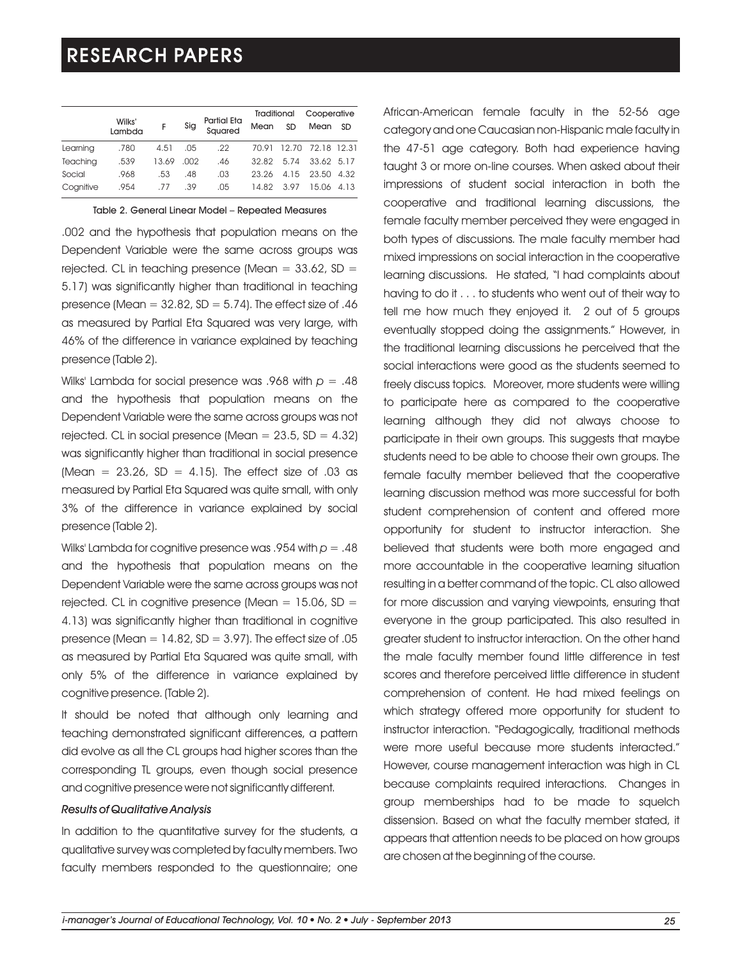|           |                  |       |      |                               | Traditional |           | Cooperative       |      |
|-----------|------------------|-------|------|-------------------------------|-------------|-----------|-------------------|------|
|           | Wilks'<br>Lambda | F     | Sig  | <b>Partial Eta</b><br>Sauared | Mean        | <b>SD</b> | Mean              | SD   |
| Learning  | .780             | 4.51  | .05  | .22                           | 70.91       |           | 12.70 72.18 12.31 |      |
| Teachina  | .539             | 13.69 | .002 | .46                           | 32.82       | 5.74      | 33.62 5.17        |      |
| Social    | .968             | .53   | .48  | .03                           | 23.26       | 4.15      | 23.50             | 4.32 |
| Coanitive | .954             | .77   | .39  | .05                           | 14.82       | 3.97      | 15.06 4.13        |      |

Table 2. General Linear Model – Repeated Measures

.002 and the hypothesis that population means on the Dependent Variable were the same across groups was rejected. CL in teaching presence (Mean  $=$  33.62, SD  $=$ 5.17) was significantly higher than traditional in teaching presence (Mean  $= 32.82$ , SD  $= 5.74$ ). The effect size of .46 as measured by Partial Eta Squared was very large, with 46% of the difference in variance explained by teaching presence (Table 2).

Wilks' Lambda for social presence was .968 with *p* = .48 and the hypothesis that population means on the Dependent Variable were the same across groups was not rejected. CL in social presence (Mean  $= 23.5$ , SD  $= 4.32$ ) was significantly higher than traditional in social presence (Mean =  $23.26$ , SD =  $4.15$ ). The effect size of .03 as measured by Partial Eta Squared was quite small, with only 3% of the difference in variance explained by social presence (Table 2).

Wilks' Lambda for cognitive presence was .954 with *p* = .48 and the hypothesis that population means on the Dependent Variable were the same across groups was not rejected. CL in cognitive presence (Mean  $= 15.06$ , SD  $=$ 4.13) was significantly higher than traditional in cognitive presence (Mean  $= 14.82$ , SD  $= 3.97$ ). The effect size of .05 as measured by Partial Eta Squared was quite small, with only 5% of the difference in variance explained by cognitive presence. (Table 2).

It should be noted that although only learning and teaching demonstrated significant differences, a pattern did evolve as all the CL groups had higher scores than the corresponding TL groups, even though social presence and cognitive presence were not significantly different.

#### *Results of Qualitative Analysis*

In addition to the quantitative survey for the students, a qualitative survey was completed by faculty members. Two faculty members responded to the questionnaire; one African-American female faculty in the 52-56 age category and one Caucasian non-Hispanic male faculty in the 47-51 age category. Both had experience having taught 3 or more on-line courses. When asked about their impressions of student social interaction in both the cooperative and traditional learning discussions, the female faculty member perceived they were engaged in both types of discussions. The male faculty member had mixed impressions on social interaction in the cooperative learning discussions. He stated, "I had complaints about having to do it . . . to students who went out of their way to tell me how much they enjoyed it. 2 out of 5 groups eventually stopped doing the assignments." However, in the traditional learning discussions he perceived that the social interactions were good as the students seemed to freely discuss topics. Moreover, more students were willing to participate here as compared to the cooperative learning although they did not always choose to participate in their own groups. This suggests that maybe students need to be able to choose their own groups. The female faculty member believed that the cooperative learning discussion method was more successful for both student comprehension of content and offered more opportunity for student to instructor interaction. She believed that students were both more engaged and more accountable in the cooperative learning situation resulting in a better command of the topic. CL also allowed for more discussion and varying viewpoints, ensuring that everyone in the group participated. This also resulted in greater student to instructor interaction. On the other hand the male faculty member found little difference in test scores and therefore perceived little difference in student comprehension of content. He had mixed feelings on which strategy offered more opportunity for student to instructor interaction. "Pedagogically, traditional methods were more useful because more students interacted." However, course management interaction was high in CL because complaints required interactions. Changes in group memberships had to be made to squelch dissension. Based on what the faculty member stated, it appears that attention needs to be placed on how groups are chosen at the beginning of the course.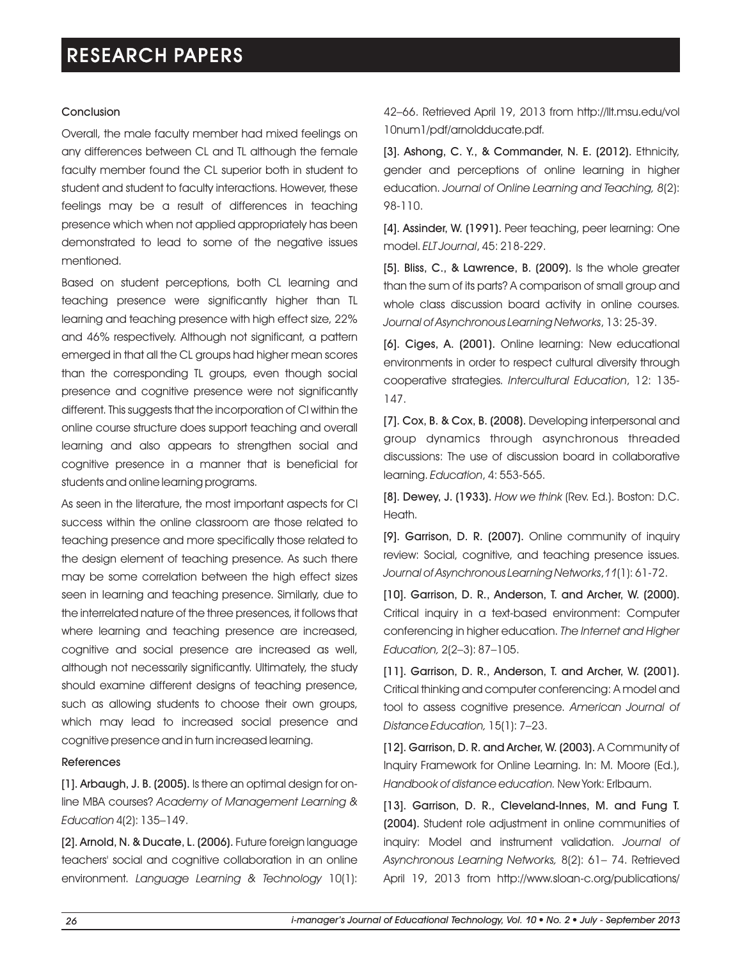### Conclusion

Overall, the male faculty member had mixed feelings on any differences between CL and TL although the female faculty member found the CL superior both in student to student and student to faculty interactions. However, these feelings may be a result of differences in teaching presence which when not applied appropriately has been demonstrated to lead to some of the negative issues mentioned.

Based on student perceptions, both CL learning and teaching presence were significantly higher than TL learning and teaching presence with high effect size, 22% and 46% respectively. Although not significant, a pattern emerged in that all the CL groups had higher mean scores than the corresponding TL groups, even though social presence and cognitive presence were not significantly different. This suggests that the incorporation of Cl within the online course structure does support teaching and overall learning and also appears to strengthen social and cognitive presence in a manner that is beneficial for students and online learning programs.

As seen in the literature, the most important aspects for Cl success within the online classroom are those related to teaching presence and more specifically those related to the design element of teaching presence. As such there may be some correlation between the high effect sizes seen in learning and teaching presence. Similarly, due to the interrelated nature of the three presences, it follows that where learning and teaching presence are increased, cognitive and social presence are increased as well, although not necessarily significantly. Ultimately, the study should examine different designs of teaching presence, such as allowing students to choose their own groups, which may lead to increased social presence and cognitive presence and in turn increased learning.

### References

[1]. Arbaugh, J. B. (2005). Is there an optimal design for online MBA courses? *Academy of Management Learning & Education* 4(2): 135–149.

[2]. Arnold, N. & Ducate, L. (2006). Future foreign language teachers' social and cognitive collaboration in an online environment. *Language Learning & Technology* 10(1): 42–66. Retrieved April 19, 2013 from http://llt.msu.edu/vol 10num1/pdf/arnoldducate.pdf.

[3]. Ashong, C. Y., & Commander, N. E. (2012). Ethnicity, gender and perceptions of online learning in higher education. *Journal of Online Learning and Teaching, 8*(2): 98-110.

[4]. Assinder, W. (1991). Peer teaching, peer learning: One model. *ELT Journal*, 45: 218-229.

[5]. Bliss, C., & Lawrence, B. (2009). Is the whole greater than the sum of its parts? A comparison of small group and whole class discussion board activity in online courses. *Journal of Asynchronous Learning Networks*, 13: 25-39.

[6]. Ciges, A. (2001). Online learning: New educational environments in order to respect cultural diversity through cooperative strategies. *Intercultural Education*, 12: 135- 147.

[7]. Cox, B. & Cox, B. (2008). Developing interpersonal and group dynamics through asynchronous threaded discussions: The use of discussion board in collaborative learning. *Education*, 4: 553-565.

[8]. Dewey, J. (1933). *How we think* (Rev. Ed.). Boston: D.C. Heath.

[9]. Garrison, D. R. (2007). Online community of inquiry review: Social, cognitive, and teaching presence issues. *Journal of Asynchronous Learning Networks*,*11*(1): 61-72.

[10]. Garrison, D. R., Anderson, T. and Archer, W. (2000). Critical inquiry in a text-based environment: Computer conferencing in higher education. *The Internet and Higher Education,* 2(2–3): 87–105.

[11]. Garrison, D. R., Anderson, T. and Archer, W. (2001). Critical thinking and computer conferencing: A model and tool to assess cognitive presence. *American Journal of Distance Education,* 15(1): 7–23.

[12]. Garrison, D. R. and Archer, W. (2003). A Community of Inquiry Framework for Online Learning. In: M. Moore (Ed.), *Handbook of distance education.* New York: Erlbaum.

[13]. Garrison, D. R., Cleveland-Innes, M. and Fung T. (2004). Student role adjustment in online communities of inquiry: Model and instrument validation. *Journal of Asynchronous Learning Networks,* 8(2): 61– 74. Retrieved April 19, 2013 from http://www.sloan-c.org/publications/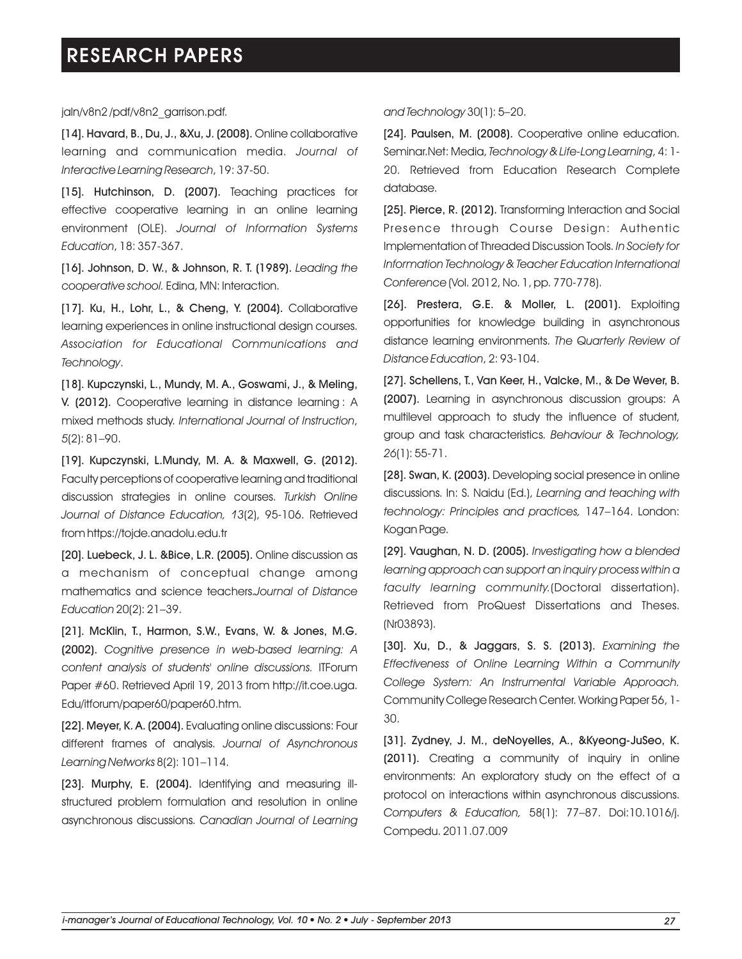jaln/v8n2 /pdf/v8n2\_garrison.pdf.

[14]. Havard, B., Du, J., &Xu, J. (2008). Online collaborative learning and communication media. *Journal of Interactive Learning Research*, 19: 37-50.

[15]. Hutchinson, D. (2007). Teaching practices for effective cooperative learning in an online learning environment (OLE). *Journal of Information Systems Education*, 18: 357-367.

[16]. Johnson, D. W., & Johnson, R. T. (1989). *Leading the cooperative school.* Edina, MN: Interaction.

[17]. Ku, H., Lohr, L., & Cheng, Y. (2004). Collaborative learning experiences in online instructional design courses. *Association for Educational Communications and Technology*.

[18]. Kupczynski, L., Mundy, M. A., Goswami, J., & Meling, V. (2012). Cooperative learning in distance learning : A mixed methods study. *International Journal of Instruction*, *5*(2): 81–90.

[19]. Kupczynski, L.Mundy, M. A. & Maxwell, G. (2012). Faculty perceptions of cooperative learning and traditional discussion strategies in online courses. *Turkish Online Journal of Distance Education, 13*(2), 95-106. Retrieved from https://tojde.anadolu.edu.tr

[20]. Luebeck, J. L. &Bice, L.R. (2005). Online discussion as a mechanism of conceptual change among mathematics and science teachers.*Journal of Distance Education* 20(2): 21–39.

[21]. McKlin, T., Harmon, S.W., Evans, W. & Jones, M.G. (2002). *Cognitive presence in web-based learning: A content analysis of students' online discussions.* ITForum Paper #60. Retrieved April 19, 2013 from http://it.coe.uga. Edu/itforum/paper60/paper60.htm.

[22]. Meyer, K. A. (2004). Evaluating online discussions: Four different frames of analysis. *Journal of Asynchronous Learning Networks* 8(2): 101–114.

[23]. Murphy, E. (2004). Identifying and measuring illstructured problem formulation and resolution in online asynchronous discussions. *Canadian Journal of Learning*  *and Technology* 30(1): 5–20.

[24]. Paulsen, M. (2008). Cooperative online education. Seminar.Net: Media, *Technology & Life-Long Learning*, 4: 1- 20. Retrieved from Education Research Complete database.

[25]. Pierce, R. (2012). Transforming Interaction and Social Presence through Course Design: Authentic Implementation of Threaded Discussion Tools. *In Society for Information Technology & Teacher Education International Conference* (Vol. 2012, No. 1, pp. 770-778).

[26]. Prestera, G.E. & Moller, L. (2001). Exploiting opportunities for knowledge building in asynchronous distance learning environments. *The Quarterly Review of Distance Education*, 2: 93-104.

[27]. Schellens, T., Van Keer, H., Valcke, M., & De Wever, B. (2007). Learning in asynchronous discussion groups: A multilevel approach to study the influence of student, group and task characteristics. *Behaviour & Technology, 26*(1): 55-71.

[28]. Swan, K. (2003). Developing social presence in online discussions. In: S. Naidu (Ed.), *Learning and teaching with technology: Principles and practices,* 147–164. London: Kogan Page.

[29]. Vaughan, N. D. (2005). *Investigating how a blended learning approach can support an inquiry process within a faculty learning community.*(Doctoral dissertation). Retrieved from ProQuest Dissertations and Theses. (Nr03893).

[30]. Xu, D., & Jaggars, S. S. (2013). *Examining the Effectiveness of Online Learning Within a Community College System: An Instrumental Variable Approach.*  Community College Research Center. Working Paper 56, 1- 30.

[31]. Zydney, J. M., deNoyelles, A., &Kyeong-JuSeo, K. (2011). Creating a community of inquiry in online environments: An exploratory study on the effect of a protocol on interactions within asynchronous discussions. *Computers & Education,* 58(1): 77–87. Doi:10.1016/j. Compedu. 2011.07.009